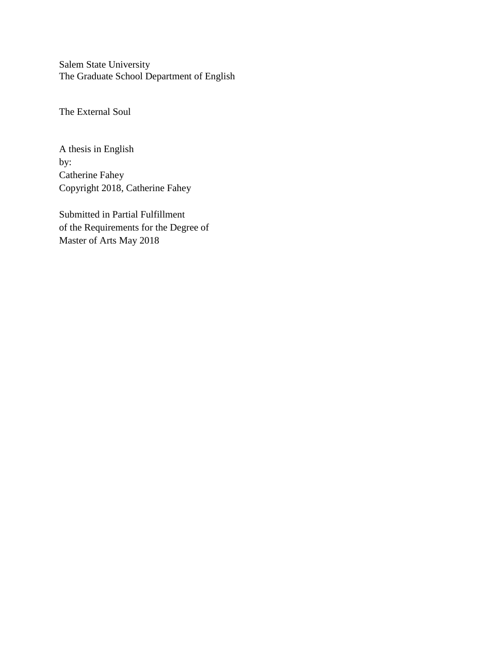Salem State University The Graduate School Department of English

The External Soul

A thesis in English by: Catherine Fahey Copyright 2018, Catherine Fahey

Submitted in Partial Fulfillment of the Requirements for the Degree of Master of Arts May 2018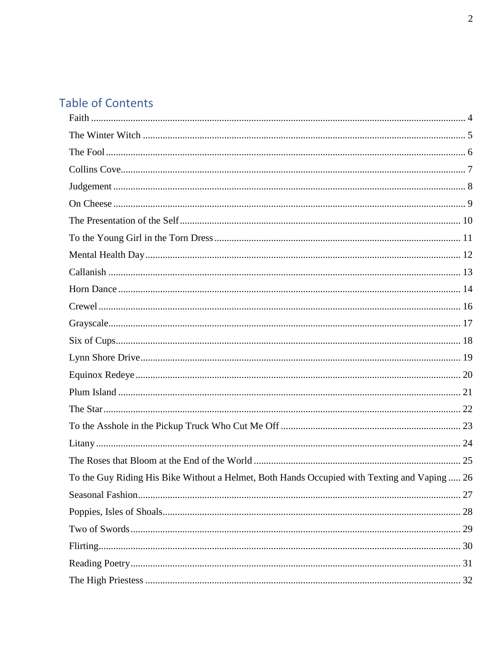# **Table of Contents**

| To the Guy Riding His Bike Without a Helmet, Both Hands Occupied with Texting and Vaping  26 |  |
|----------------------------------------------------------------------------------------------|--|
|                                                                                              |  |
|                                                                                              |  |
|                                                                                              |  |
|                                                                                              |  |
|                                                                                              |  |
|                                                                                              |  |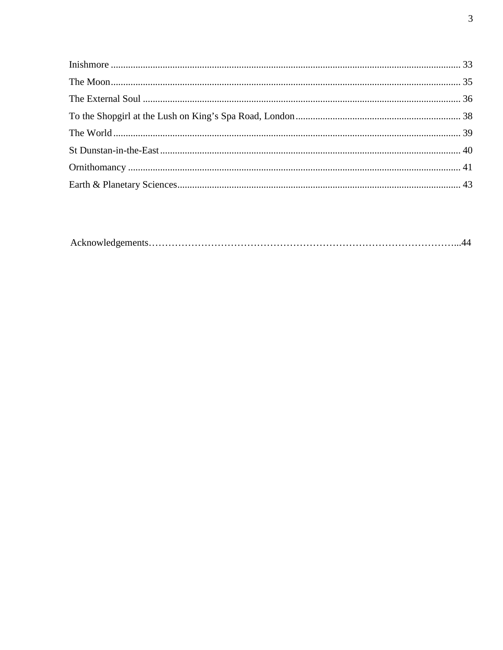|--|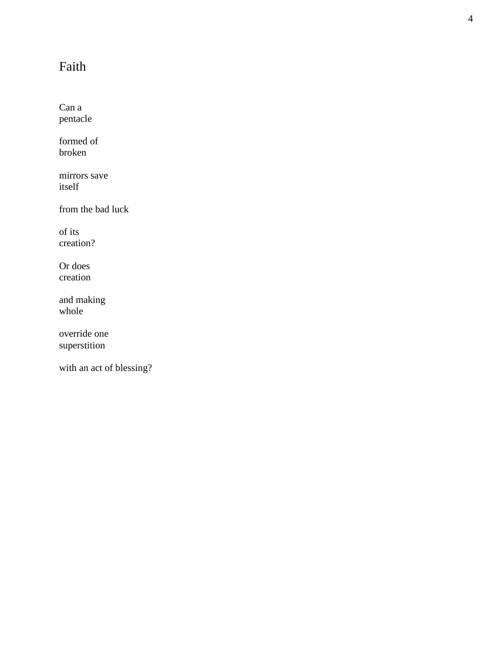# <span id="page-3-0"></span>Faith

Can a pentacle

formed of broken

mirrors save itself

from the bad luck

of its creation?

Or does creation

and making whole

override one superstition

with an act of blessing?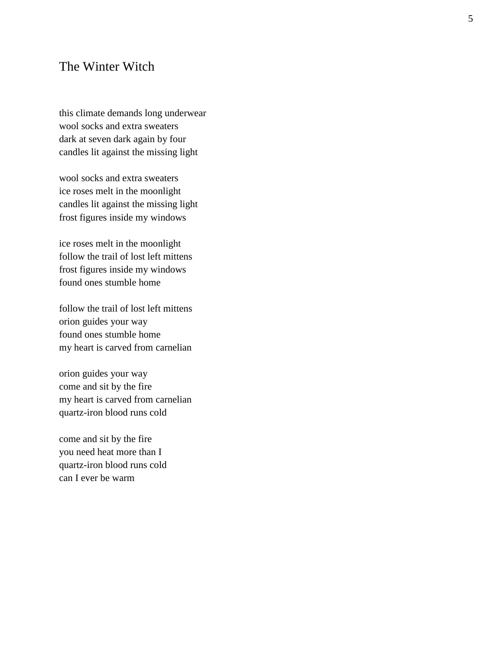## <span id="page-4-0"></span>The Winter Witch

this climate demands long underwear wool socks and extra sweaters dark at seven dark again by four candles lit against the missing light

wool socks and extra sweaters ice roses melt in the moonlight candles lit against the missing light frost figures inside my windows

ice roses melt in the moonlight follow the trail of lost left mittens frost figures inside my windows found ones stumble home

follow the trail of lost left mittens orion guides your way found ones stumble home my heart is carved from carnelian

orion guides your way come and sit by the fire my heart is carved from carnelian quartz -iron blood runs cold

come and sit by the fire you need heat more than I quartz -iron blood runs cold can I ever be warm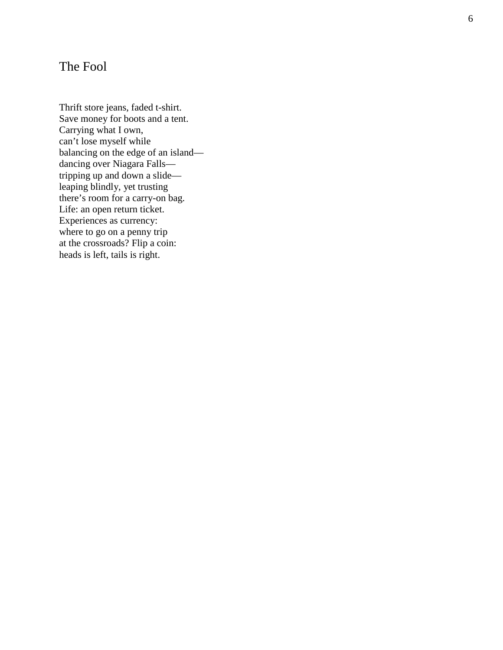## <span id="page-5-0"></span>The Fool

Thrift store jeans, faded t -shirt. Save money for boots and a tent. Carrying what I own, can't lose myself while balancing on the edge of an island dancing over Niagara Falls tripping up and down a slide leaping blindly, yet trusting there's room for a carry -on bag. Life: an open return ticket. Experiences as currency: where to go on a penny trip at the crossroads? Flip a coin: heads is left, tails is right.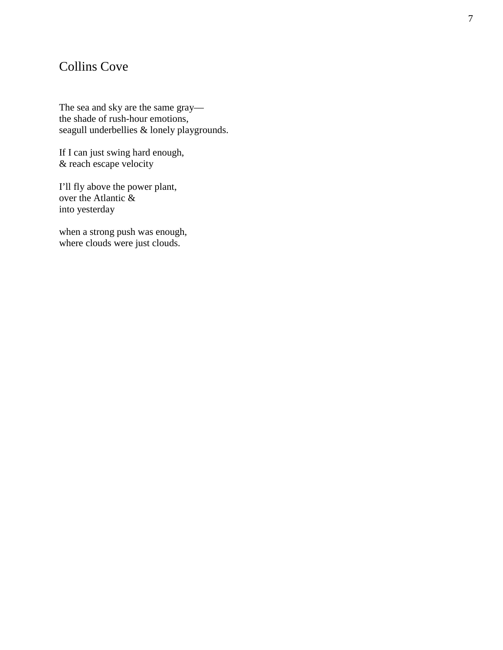## <span id="page-6-0"></span>Collins Cove

The sea and sky are the same gray the shade of rush -hour emotions, seagull underbellies & lonely playgrounds.

If I can just swing hard enough, & reach escape velocity

I'll fly above the power plant, over the Atlantic & into yesterday

when a strong push was enough, where clouds were just clouds.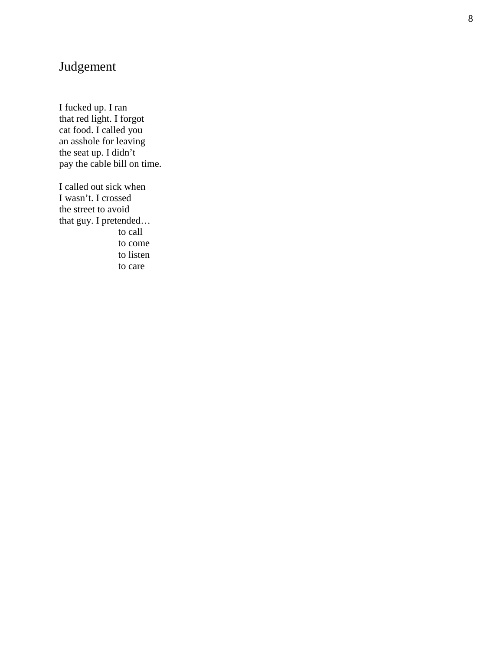## <span id="page-7-0"></span>Judgement

I fucked up. I ran that red light. I forgot cat food. I called you an asshole for leaving the seat up. I didn't pay the cable bill on time.

I called out sick when I wasn't. I crossed the street to avoid that guy. I pretended… to call to come to listen to care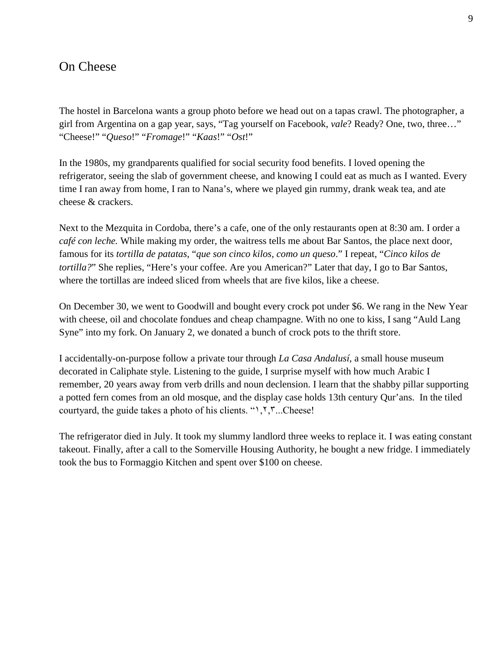## <span id="page-8-0"></span>On Cheese

The hostel in Barcelona wants a group photo before we head out on a tapas crawl. The photographer, a girl from Argentina on a gap year, says, "Tag yourself on Facebook, *vale*? Ready? One, two, three…" "Cheese!" "*Queso*!" "*Fromage*!" "*Kaas*!" "*Ost*!"

In the 1980s, my grandparents qualified for social security food benefits. I loved opening the refrigerator, seeing the slab of government cheese, and knowing I could eat as much as I wanted. Every time I ran away from home, I ran to Nana's, where we played gin rummy, drank weak tea, and ate cheese & crackers.

Next to the Mezquita in Cordoba, there's a cafe, one of the only restaurants open at 8:30 am. I order a *café con leche.* While making my order, the waitress tells me about Bar Santos, the place next door, famous for its *tortilla de patatas*, "*que son cinco kilos, como un queso*." I repeat, "*Cinco kilos de tortilla?*" She replies, "Here's your coffee. Are you American?" Later that day, I go to Bar Santos, where the tortillas are indeed sliced from wheels that are five kilos, like a cheese.

On December 30, we went to Goodwill and bought every crock pot under \$6. We rang in the New Year with cheese, oil and chocolate fondues and cheap champagne. With no one to kiss, I sang "Auld Lang Syne" into my fork. On January 2, we donated a bunch of crock pots to the thrift store.

I accidentally-on-purpose follow a private tour through *La Casa Andalusí*, a small house museum decorated in Caliphate style. Listening to the guide, I surprise myself with how much Arabic I remember, 20 years away from verb drills and noun declension. I learn that the shabby pillar supporting a potted fern comes from an old mosque, and the display case holds 13th century Qur'ans. In the tiled courtyard, the guide takes a photo of his clients. "١,٢,٣...Cheese!

The refrigerator died in July. It took my slummy landlord three weeks to replace it. I was eating constant takeout. Finally, after a call to the Somerville Housing Authority, he bought a new fridge. I immediately took the bus to Formaggio Kitchen and spent over \$100 on cheese.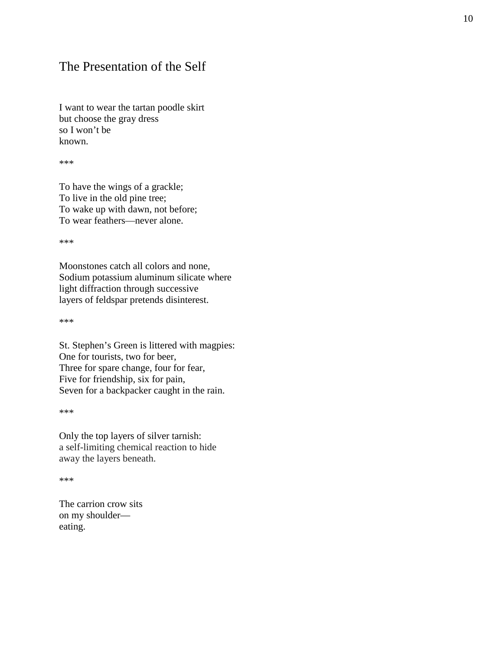## <span id="page-9-0"></span>The Presentation of the Self

I want to wear the tartan poodle skirt but choose the gray dress so I won't be known.

\*\*\*

To have the wings of a grackle; To live in the old pine tree; To wake up with dawn, not before; To wear feathers—never alone.

\*\*\*

Moonstones catch all colors and none, Sodium potassium aluminum silicate where light diffraction through successive layers of feldspar pretends disinterest.

\*\*\*

St. Stephen's Green is littered with magpies: One for tourists, two for beer, Three for spare change, four for fear, Five for friendship, six for pain, Seven for a backpacker caught in the rain.

\*\*\*

Only the top layers of silver tarnish: a self-limiting chemical reaction to hide away the layers beneath.

\*\*\*

The carrion crow sits on my shoulder eating.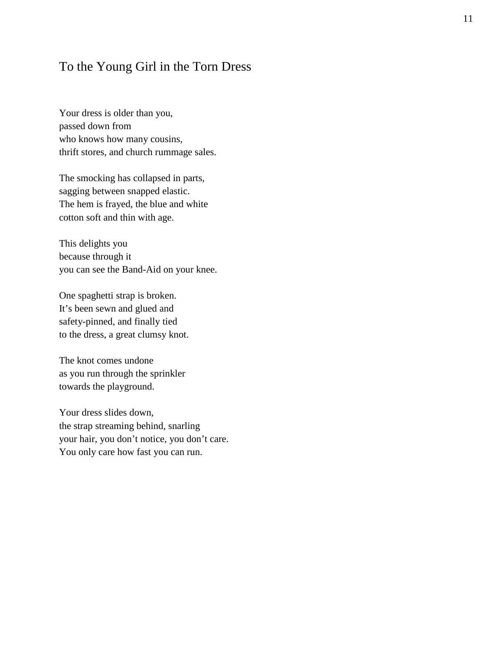## <span id="page-10-0"></span>To the Young Girl in the Torn Dress

Your dress is older than you, passed down from who knows how many cousins, thrift stores, and church rummage sales.

The smocking has collapsed in parts, sagging between snapped elastic. The hem is frayed, the blue and white cotton soft and thin with age.

This delights you because through it you can see the Band-Aid on your knee.

One spaghetti strap is broken. It's been sewn and glued and safety-pinned, and finally tied to the dress, a great clumsy knot.

The knot comes undone as you run through the sprinkler towards the playground.

Your dress slides down, the strap streaming behind, snarling your hair, you don't notice, you don't care. You only care how fast you can run.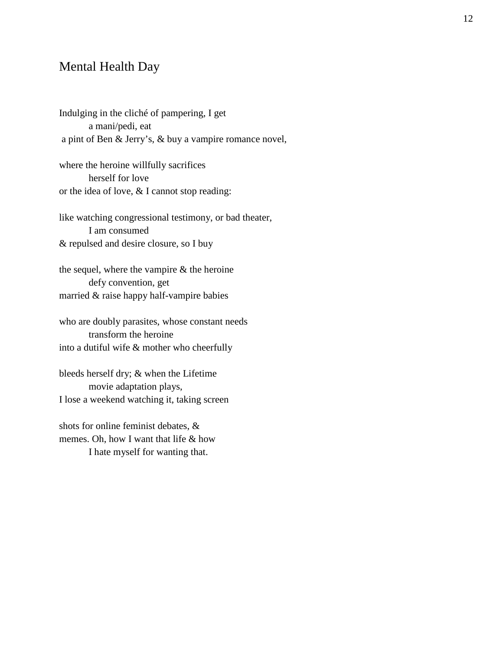#### <span id="page-11-0"></span>Mental Health Day

Indulging in the cliché of pampering, I get a mani/pedi, eat a pint of Ben & Jerry's, & buy a vampire romance novel,

where the heroine willfully sacrifices herself for love or the idea of love, & I cannot stop reading:

like watching congressional testimony, or bad theater, I am consumed & repulsed and desire closure, so I buy

the sequel, where the vampire & the heroine defy convention, get married & raise happy half-vampire babies

who are doubly parasites, whose constant needs transform the heroine into a dutiful wife & mother who cheerfully

bleeds herself dry; & when the Lifetime movie adaptation plays, I lose a weekend watching it, taking screen

shots for online feminist debates, & memes. Oh, how I want that life & how I hate myself for wanting that.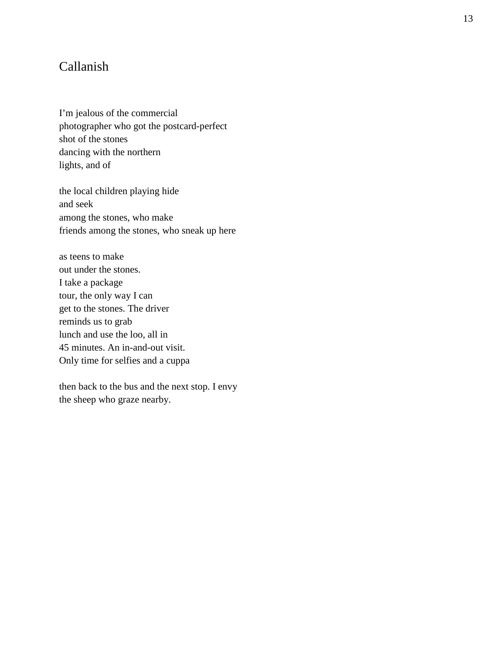## <span id="page-12-0"></span>Callanish

I'm jealous of the commercial photographer who got the postcard -perfect shot of the stones dancing with the northern lights, and of

the local children playing hide and seek among the stones, who make friends among the stones, who sneak up here

as teens to make out under the stones. I take a package tour, the only way I can get to the stones. The driver reminds us to grab lunch and use the loo, all in 45 minutes. An in -and -out visit. Only time for selfies and a cuppa

then back to the bus and the next stop. I envy the sheep who graze nearby.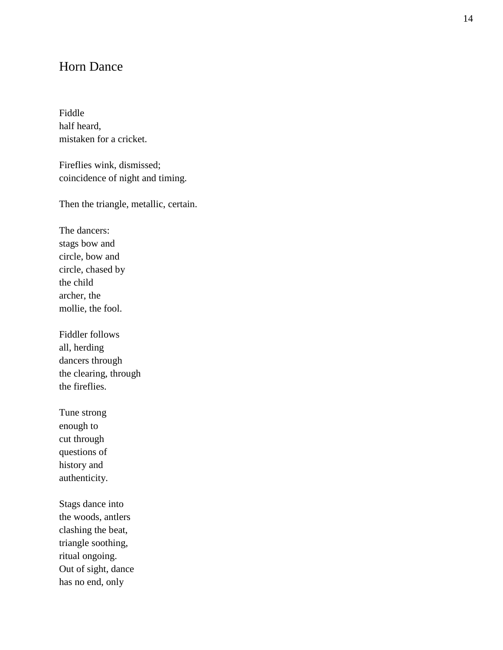## <span id="page-13-0"></span>Horn Dance

Fiddle half heard, mistaken for a cricket.

Fireflies wink, dismissed; coincidence of night and timing.

Then the triangle, metallic, certain.

The dancers: stags bow and circle, bow and circle, chased by the child archer, the mollie, the fool.

Fiddler follows all, herding dancers through the clearing, through the fireflies.

Tune strong enough to cut through questions of history and authenticity.

Stags dance into the woods, antlers clashing the beat, triangle soothing, ritual ongoing. Out of sight, dance has no end, only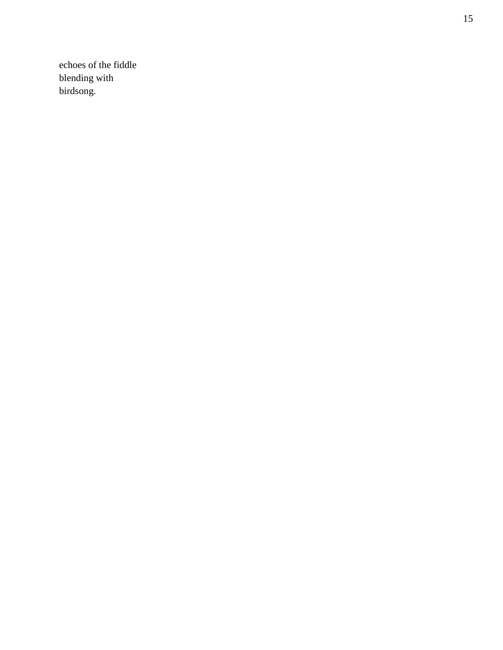echoes of the fiddle blending with birdsong.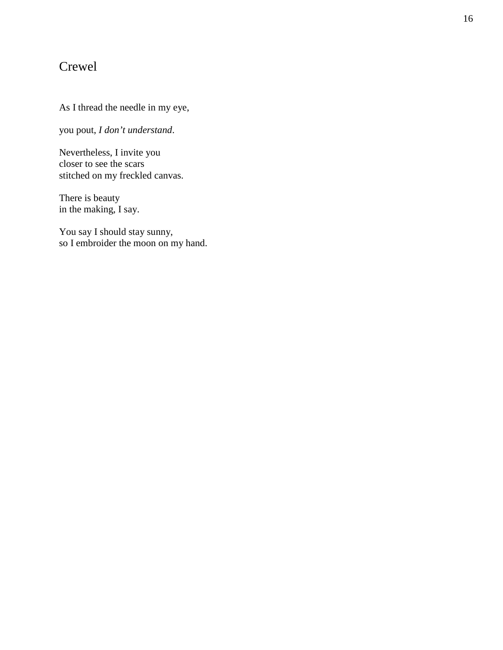## <span id="page-15-0"></span>Crewel

#### As I thread the needle in my eye,

you pout, *I don't understand* .

Nevertheless, I invite you closer to see the scars stitched on my freckled canvas.

There is beauty in the making, I say.

You say I should stay sunny, so I embroider the moon on my hand.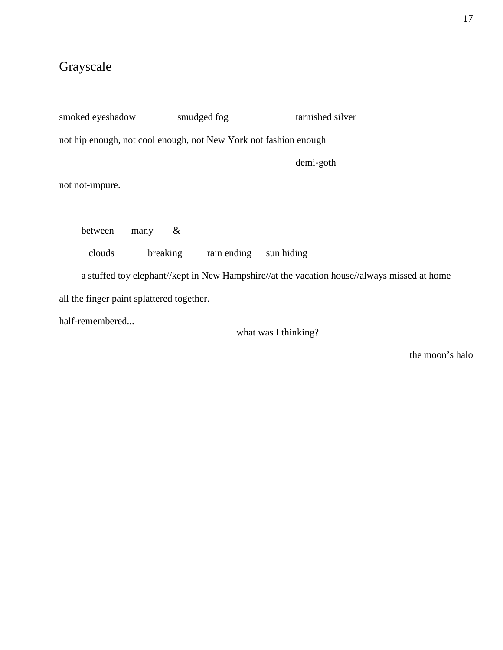# <span id="page-16-0"></span>Grayscale

| smoked eyeshadow                                                                            | smudged fog | tarnished silver |  |  |  |
|---------------------------------------------------------------------------------------------|-------------|------------------|--|--|--|
| not hip enough, not cool enough, not New York not fashion enough                            |             |                  |  |  |  |
|                                                                                             |             | demi-goth        |  |  |  |
| not not-impure.                                                                             |             |                  |  |  |  |
|                                                                                             |             |                  |  |  |  |
| between<br>many                                                                             | $\&$        |                  |  |  |  |
| clouds<br>breaking                                                                          | rain ending | sun hiding       |  |  |  |
| a stuffed toy elephant//kept in New Hampshire//at the vacation house//always missed at home |             |                  |  |  |  |
| all the finger paint splattered together.                                                   |             |                  |  |  |  |
| half-remembered                                                                             |             |                  |  |  |  |

what was I thinking?

the moon's halo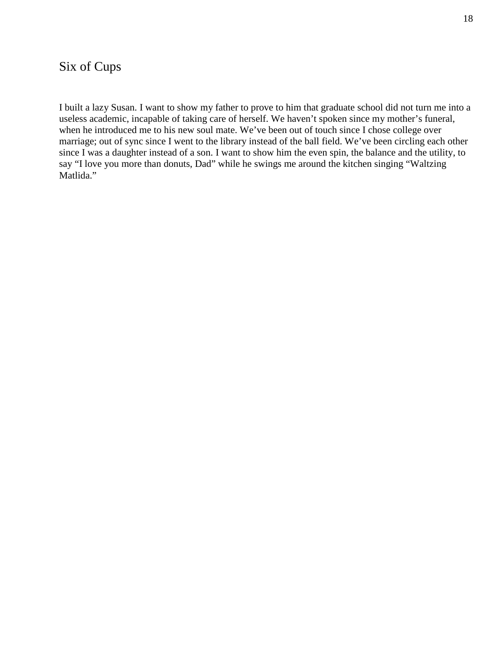## <span id="page-17-0"></span>Six of Cups

I built a lazy Susan. I want to show my father to prove to him that graduate school did not turn me into a useless academic, incapable of taking care of herself. We haven't spoken since my mother's funeral, when he introduced me to his new soul mate. We've been out of touch since I chose college over marriage; out of sync since I went to the library instead of the ball field. We've been circling each other since I was a daughter instead of a son. I want to show him the even spin, the balance and the utility, to say "I love you more than donuts, Dad" while he swings me around the kitchen singing "Waltzing" Matlida."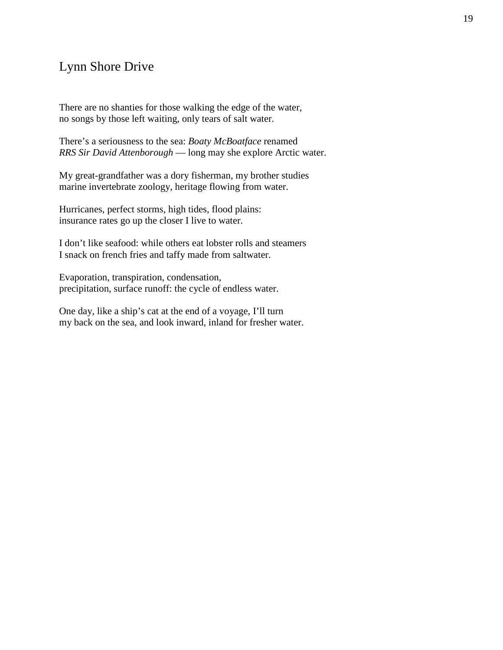## <span id="page-18-0"></span>Lynn Shore Drive

There are no shanties for those walking the edge of the water, no songs by those left waiting, only tears of salt water.

There's a seriousness to the sea: *Boaty McBoatface* renamed *RRS Sir David Attenborough* — long may she explore Arctic water.

My great-grandfather was a dory fisherman, my brother studies marine invertebrate zoology, heritage flowing from water.

Hurricanes, perfect storms, high tides, flood plains: insurance rates go up the closer I live to water.

I don't like seafood: while others eat lobster rolls and steamers I snack on french fries and taffy made from saltwater.

Evaporation, transpiration, condensation, precipitation, surface runoff: the cycle of endless water.

One day, like a ship's cat at the end of a voyage, I'll turn my back on the sea, and look inward, inland for fresher water.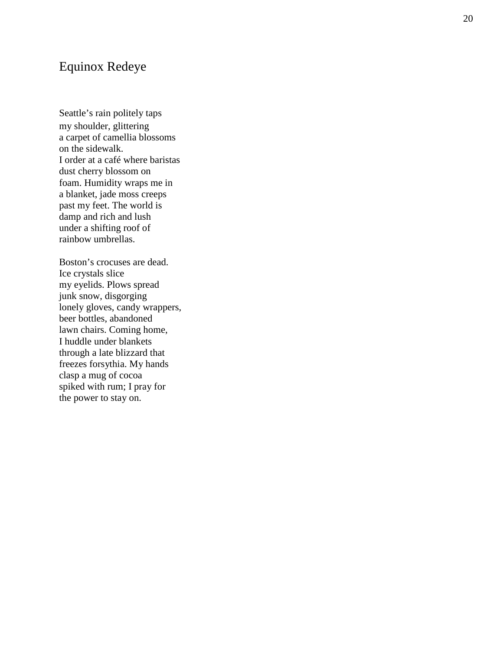## <span id="page-19-0"></span>Equinox Redeye

Seattle's rain politely taps my shoulder, glittering a carpet of camellia blossoms on the sidewalk. I order at a café where baristas dust cherry blossom on foam. Humidity wraps me in a blanket, jade moss creeps past my feet. The world is damp and rich and lush under a shifting roof of rainbow umbrellas.

Boston's crocuses are dead. Ice crystals slice my eyelids. Plows spread junk snow, disgorging lonely gloves, candy wrappers, beer bottles, abandoned lawn chairs. Coming home, I huddle under blankets through a late blizzard that freezes forsythia. My hands clasp a mug of cocoa spiked with rum; I pray for the power to stay on.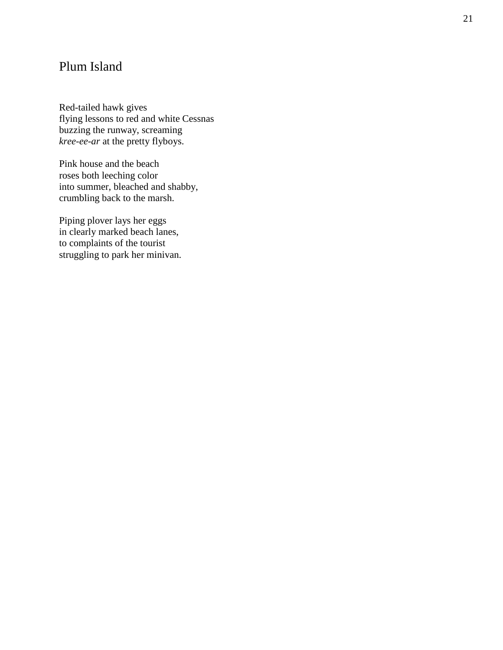## <span id="page-20-0"></span>Plum Island

Red -tailed hawk gives flying lessons to red and white Cessnas buzzing the runway, screaming *kree -ee -ar* at the pretty flyboys.

Pink house and the beach roses both leeching color into summer, bleached and shabby, crumbling back to the marsh.

Piping plover lays her eggs in clearly marked beach lanes, to complaints of the tourist struggling to park her minivan.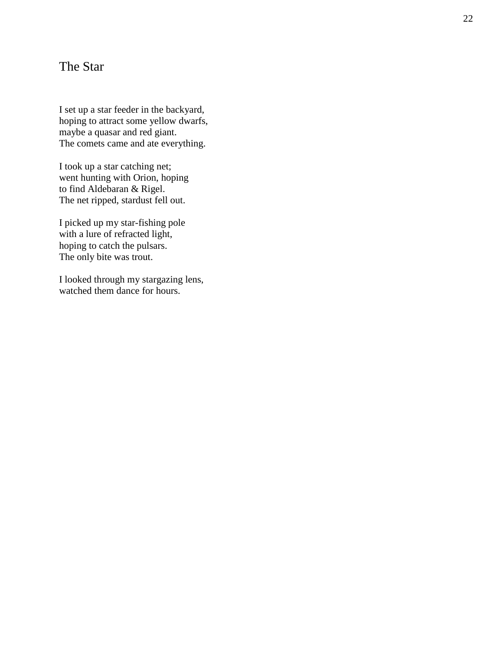## <span id="page-21-0"></span>The Star

I set up a star feeder in the backyard, hoping to attract some yellow dwarfs, maybe a quasar and red giant. The comets came and ate everything.

I took up a star catching net; went hunting with Orion, hoping to find Aldebaran & Rigel. The net ripped, stardust fell out.

I picked up my star -fishing pole with a lure of refracted light, hoping to catch the pulsars. The only bite was trout.

I looked through my stargazing lens, watched them dance for hours.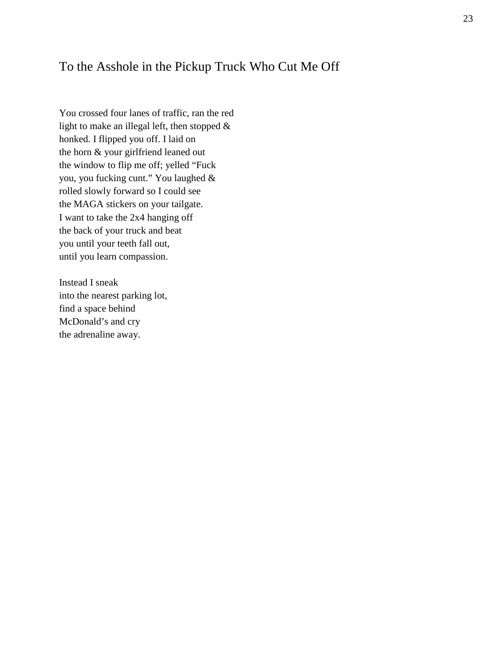### <span id="page-22-0"></span>To the Asshole in the Pickup Truck Who Cut Me Off

You crossed four lanes of traffic, ran the red light to make an illegal left, then stopped & honked. I flipped you off. I laid on the horn & your girlfriend leaned out the window to flip me off; yelled "Fuck you, you fucking cunt." You laughed & rolled slowly forward so I could see the MAGA stickers on your tailgate. I want to take the 2x4 hanging off the back of your truck and beat you until your teeth fall out, until you learn compassion.

Instead I sneak into the nearest parking lot, find a space behind McDonald's and cry the adrenaline away.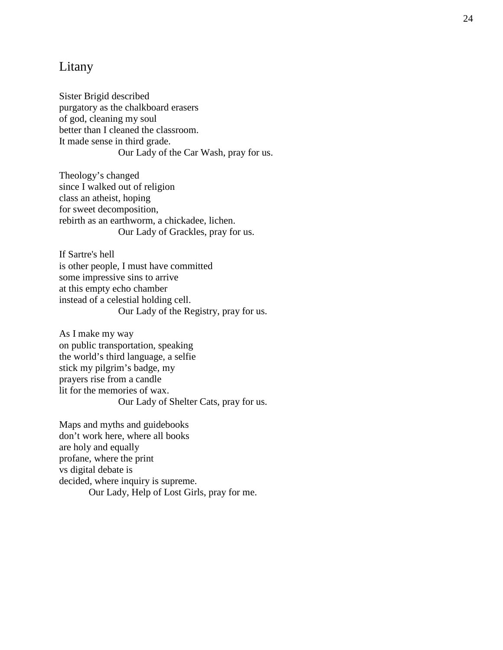#### <span id="page-23-0"></span>Litany

Sister Brigid described purgatory as the chalkboard erasers of god, cleaning my soul better than I cleaned the classroom. It made sense in third grade. Our Lady of the Car Wash, pray for us.

Theology's changed since I walked out of religion class an atheist, hoping for sweet decomposition, rebirth as an earthworm, a chickadee, lichen. Our Lady of Grackles, pray for us.

If Sartre's hell is other people, I must have committed some impressive sins to arrive at this empty echo chamber instead of a celestial holding cell. Our Lady of the Registry, pray for us.

As I make my way on public transportation, speaking the world's third language, a selfie stick my pilgrim's badge, my prayers rise from a candle lit for the memories of wax. Our Lady of Shelter Cats, pray for us.

Maps and myths and guidebooks don't work here, where all books are holy and equally profane, where the print vs digital debate is decided, where inquiry is supreme. Our Lady, Help of Lost Girls, pray for me.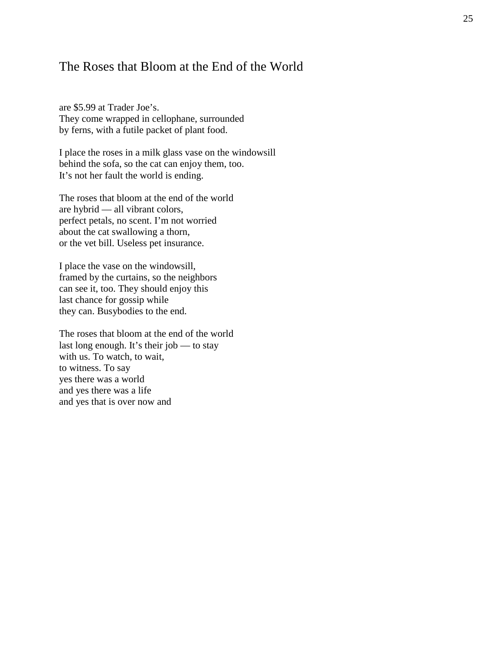#### <span id="page-24-0"></span>The Roses that Bloom at the End of the World

are \$5.99 at Trader Joe's. They come wrapped in cellophane, surrounded by ferns, with a futile packet of plant food.

I place the roses in a milk glass vase on the windowsill behind the sofa, so the cat can enjoy them, too. It's not her fault the world is ending.

The roses that bloom at the end of the world are hybrid — all vibrant colors, perfect petals, no scent. I'm not worried about the cat swallowing a thorn, or the vet bill. Useless pet insurance.

I place the vase on the windowsill, framed by the curtains, so the neighbors can see it, too. They should enjoy this last chance for gossip while they can. Busybodies to the end.

The roses that bloom at the end of the world last long enough. It's their job — to stay with us. To watch, to wait, to witness. To say yes there was a world and yes there was a life and yes that is over now and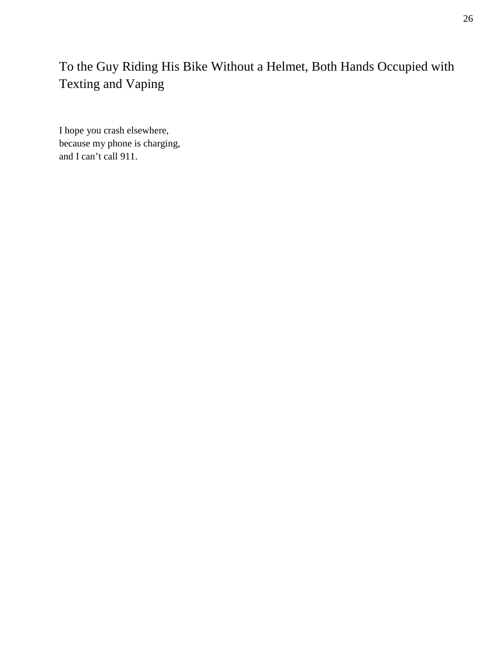# <span id="page-25-0"></span>To the Guy Riding His Bike Without a Helmet, Both Hands Occupied with Texting and Vaping

I hope you crash elsewhere, because my phone is charging, and I can't call 911.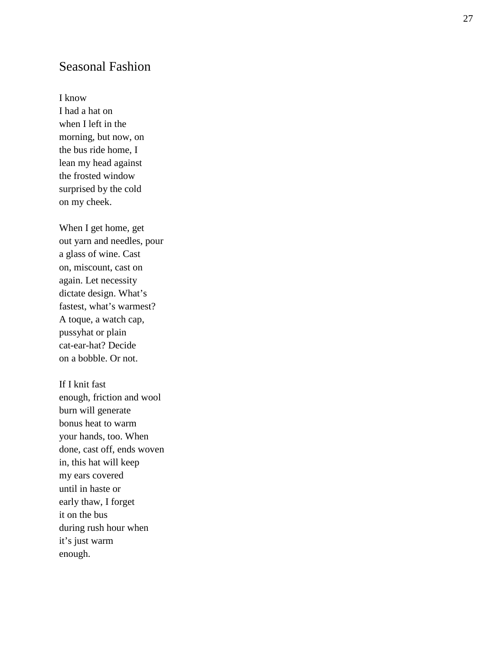## <span id="page-26-0"></span>Seasonal Fashion

I know

I had a hat on when I left in the morning, but now, on the bus ride home, I lean my head against the frosted window surprised by the cold on my cheek.

When I get home, get out yarn and needles, pour a glass of wine. Cast on, miscount, cast on again. Let necessity dictate design. What's fastest, what's warmest? A toque, a watch cap, pussyhat or plain cat -ear -hat? Decide on a bobble. Or not.

If I knit fast enough, friction and wool burn will generate bonus heat to warm your hands, too. When done, cast off, ends woven in, this hat will keep my ears covered until in haste or early thaw, I forget it on the bus during rush hour when it's just warm enough.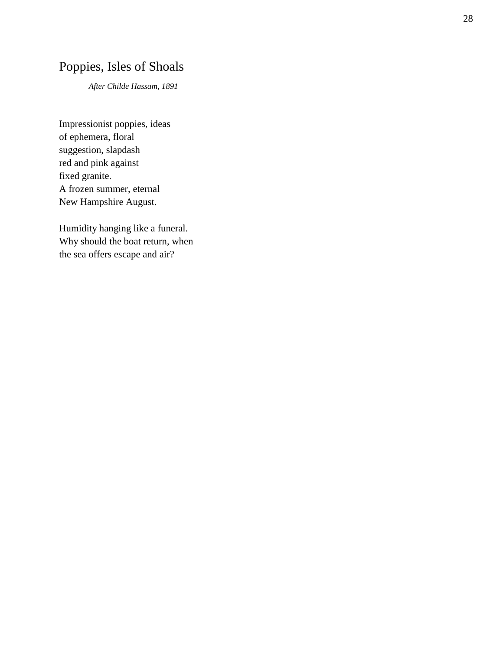# <span id="page-27-0"></span>Poppies, Isles of Shoals

*After Childe Hassam, 1891*

Impressionist poppies, ideas of ephemera, floral suggestion, slapdash red and pink against fixed granite. A frozen summer, eternal New Hampshire August.

Humidity hanging like a funeral. Why should the boat return, when the sea offers escape and air?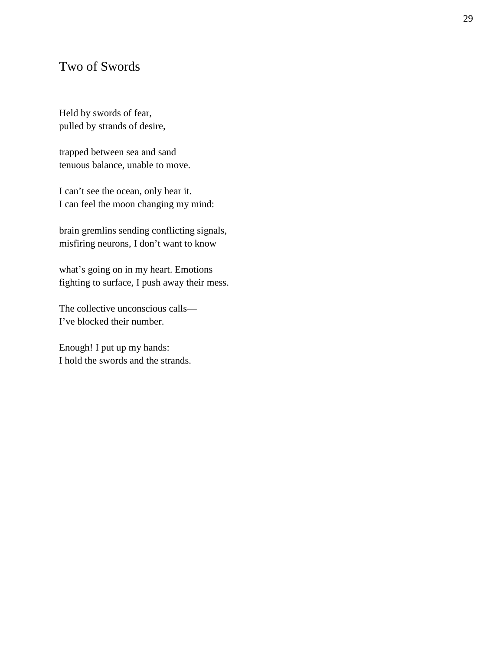## <span id="page-28-0"></span>Two of Swords

Held by swords of fear, pulled by strands of desire,

trapped between sea and sand tenuous balance, unable to move.

I can't see the ocean, only hear it. I can feel the moon changing my mind:

brain gremlins sending conflicting signals, misfiring neurons, I don't want to know

what's going on in my heart. Emotions fighting to surface, I push away their mess.

The collective unconscious calls— I've blocked their number.

Enough! I put up my hands: I hold the swords and the strands.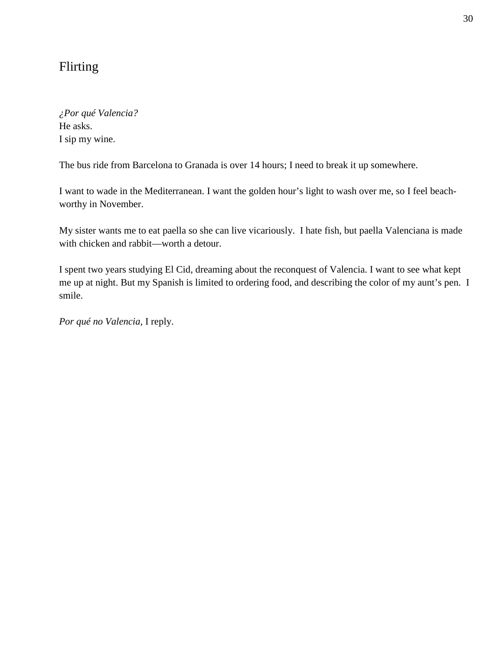## <span id="page-29-0"></span>Flirting

*¿Por qué Valencia?*  He asks. I sip my wine.

The bus ride from Barcelona to Granada is over 14 hours; I need to break it up somewhere.

I want to wade in the Mediterranean. I want the golden hour's light to wash over me, so I feel beachworthy in November.

My sister wants me to eat paella so she can live vicariously. I hate fish, but paella Valenciana is made with chicken and rabbit—worth a detour.

I spent two years studying El Cid, dreaming about the reconquest of Valencia. I want to see what kept me up at night. But my Spanish is limited to ordering food, and describing the color of my aunt's pen. I smile.

*Por qué no Valencia,* I reply.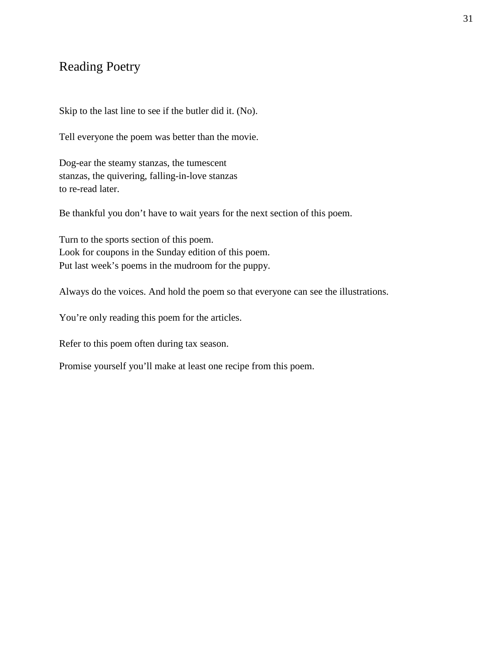## <span id="page-30-0"></span>Reading Poetry

Skip to the last line to see if the butler did it. (No).

Tell everyone the poem was better than the movie.

Dog-ear the steamy stanzas, the tumescent stanzas, the quivering, falling-in-love stanzas to re-read later.

Be thankful you don't have to wait years for the next section of this poem.

Turn to the sports section of this poem. Look for coupons in the Sunday edition of this poem. Put last week's poems in the mudroom for the puppy.

Always do the voices. And hold the poem so that everyone can see the illustrations.

You're only reading this poem for the articles.

Refer to this poem often during tax season.

Promise yourself you'll make at least one recipe from this poem.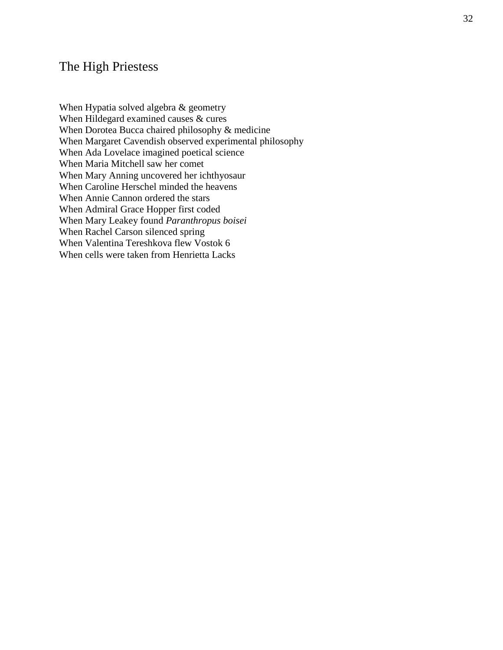#### <span id="page-31-0"></span>The High Priestess

When Hypatia solved algebra & geometry When Hildegard examined causes & cures When Dorotea Bucca chaired philosophy & medicine When Margaret Cavendish observed experimental philosophy When Ada Lovelace imagined poetical science When Maria Mitchell saw her comet When Mary Anning uncovered her ichthyosaur When Caroline Herschel minded the heavens When Annie Cannon ordered the stars When Admiral Grace Hopper first coded When Mary Leakey found *Paranthropus boisei* When Rachel Carson silenced spring When Valentina Tereshkova flew Vostok 6 When cells were taken from Henrietta Lacks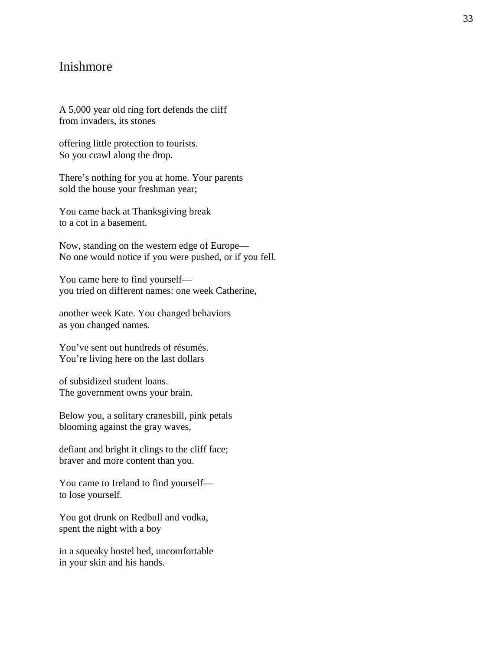#### <span id="page-32-0"></span>Inishmore

A 5,000 year old ring fort defends the cliff from invaders, its stones

offering little protection to tourists. So you crawl along the drop.

There's nothing for you at home. Your parents sold the house your freshman year;

You came back at Thanksgiving break to a cot in a basement.

Now, standing on the western edge of Europe— No one would notice if you were pushed, or if you fell.

You came here to find yourself you tried on different names: one week Catherine,

another week Kate. You changed behaviors as you changed names.

You've sent out hundreds of résumés. You're living here on the last dollars

of subsidized student loans. The government owns your brain.

Below you, a solitary cranesbill, pink petals blooming against the gray waves,

defiant and bright it clings to the cliff face; braver and more content than you.

You came to Ireland to find yourself to lose yourself.

You got drunk on Redbull and vodka, spent the night with a boy

in a squeaky hostel bed, uncomfortable in your skin and his hands.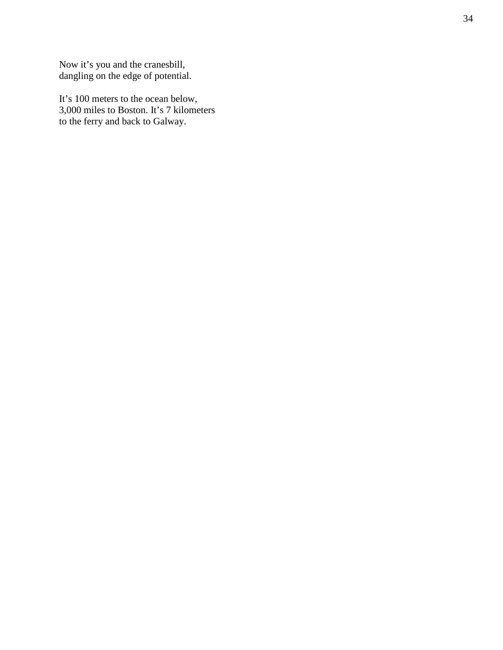Now it's you and the cranesbill, dangling on the edge of potential.

It's 100 meters to the ocean below, 3,000 miles to Boston. It's 7 kilometers to the ferry and back to Galway.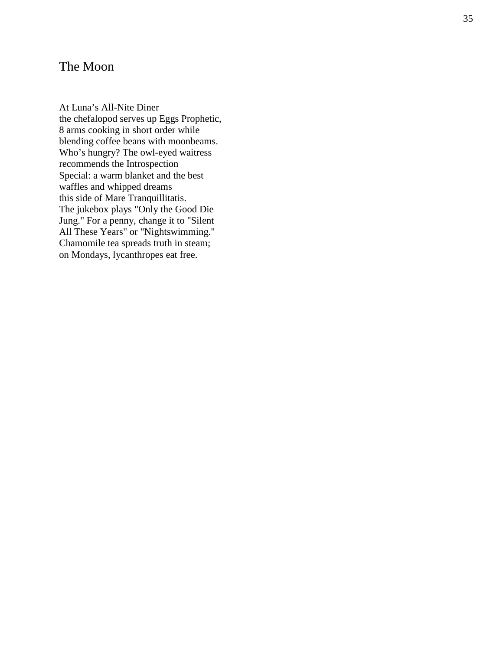## <span id="page-34-0"></span>The Moon

At Luna's All -Nite Diner the chefalopod serves up Eggs Prophetic, 8 arms cooking in short order while blending coffee beans with moonbeams. Who's hungry? The owl -eyed waitress recommends the Introspection Special: a warm blanket and the best waffles and whipped dreams this side of Mare Tranquillitatis. The jukebox plays "Only the Good Die Jung." For a penny, change it to "Silent All These Years" or "Nightswimming." Chamomile tea spreads truth in steam; on Mondays, lycanthropes eat free.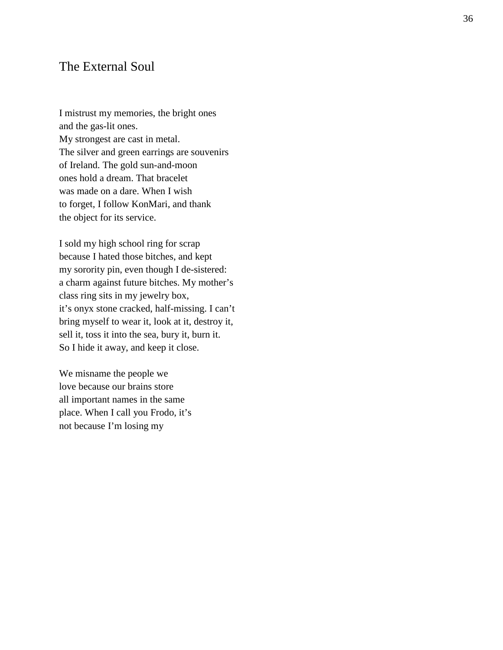#### <span id="page-35-0"></span>The External Soul

I mistrust my memories, the bright ones and the gas -lit ones. My strongest are cast in metal. The silver and green earrings are souvenirs of Ireland. The gold sun -and -moon ones hold a dream. That bracelet was made on a dare. When I wish to forget, I follow KonMari, and thank the object for its service.

I sold my high school ring for scrap because I hated those bitches, and kept my sorority pin, even though I de -sistered: a charm against future bitches. My mother's class ring sits in my jewelry box, it's onyx stone cracked, half-missing. I can't bring myself to wear it, look at it, destroy it, sell it, toss it into the sea, bury it, burn it. So I hide it away, and keep it close. We misname the people we

love because our brains store all important names in the same place. When I call you Frodo, it's not because I'm losing my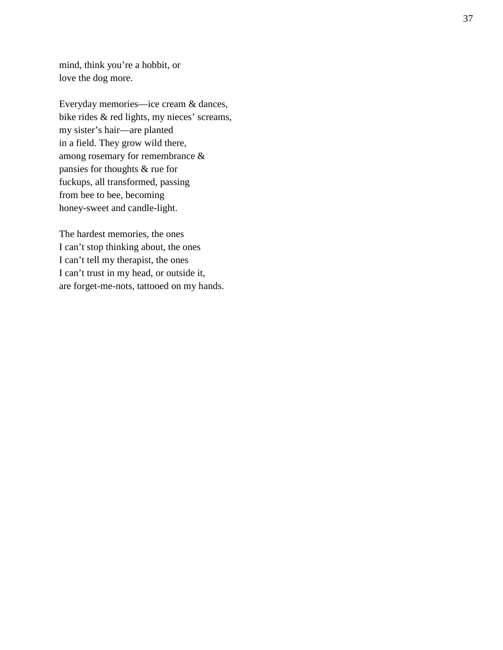mind, think you're a hobbit, or love the dog more.

Everyday memories —ice cream & dances, bike rides & red lights, my nieces' screams, my sister's hair—are planted in a field. They grow wild there, among rosemary for remembrance & pansies for thoughts & rue for fuckups, all transformed, passing from bee to bee, becoming honey -sweet and candle -light.

The hardest memories, the ones I can't stop thinking about, the ones I can't tell my therapist, the ones I can't trust in my head, or outside it, are forget -me -nots, tattooed on my hands.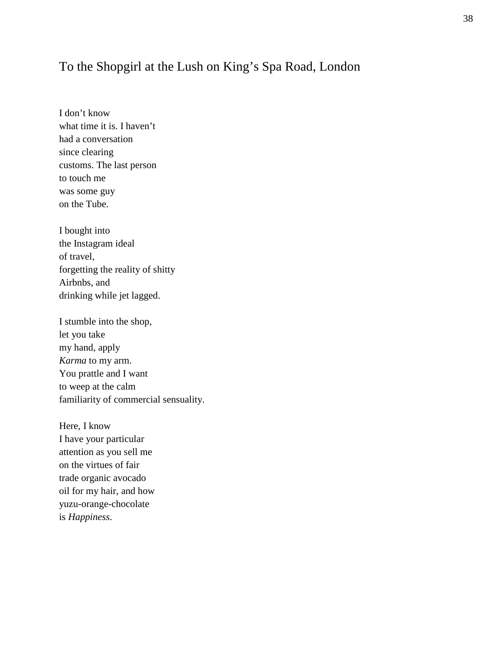## <span id="page-37-0"></span>To the Shopgirl at the Lush on King's Spa Road, London

I don't know what time it is. I haven't had a conversation since clearing customs. The last person to touch me was some guy on the Tube.

I bought into the Instagram ideal of travel, forgetting the reality of shitty Airbnbs, and drinking while jet lagged.

I stumble into the shop, let you take my hand, apply *Karma* to my arm. You prattle and I want to weep at the calm familiarity of commercial sensuality.

Here, I know I have your particular attention as you sell me on the virtues of fair trade organic avocado oil for my hair, and how yuzu-orange-chocolate is *Happiness*.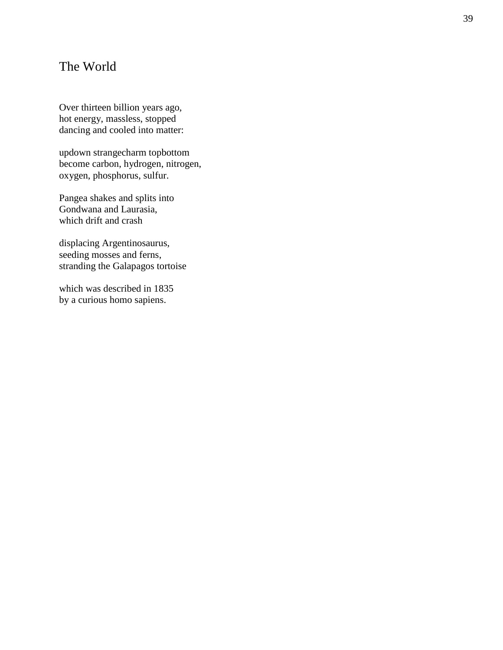## <span id="page-38-0"></span>The World

Over thirteen billion years ago, hot energy, massless, stopped dancing and cooled into matter:

updown strangecharm topbottom become carbon, hydrogen, nitrogen, oxygen, phosphorus, sulfur.

Pangea shakes and splits into Gondwana and Laurasia, which drift and crash

displacing Argentinosaurus, seeding mosses and ferns, stranding the Galapagos tortoise

which was described in 1835 by a curious homo sapiens.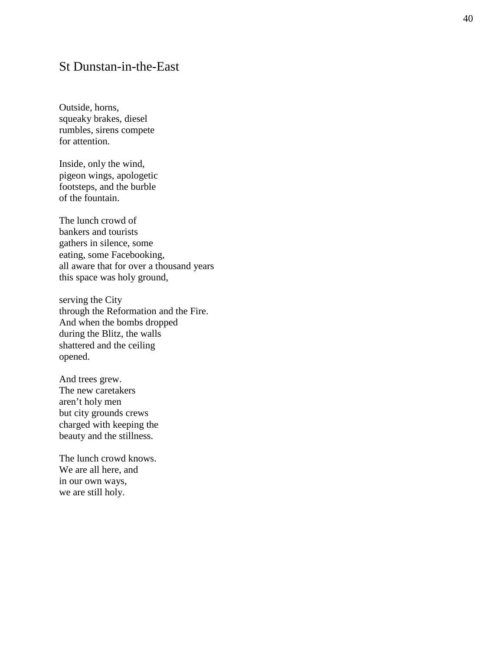#### <span id="page-39-0"></span>St Dunstan -in -the -East

Outside, horns, squeaky brakes, diesel rumbles, sirens compete for attention.

Inside, only the wind, pigeon wings, apologetic footsteps, and the burble of the fountain.

The lunch crowd of bankers and tourists gathers in silence, some eating, some Facebooking, all aware that for over a thousand years this space was holy ground,

serving the City through the Reformation and the Fire. And when the bombs dropped during the Blitz, the walls shattered and the ceiling opened.

And trees grew. The new caretakers aren't holy men but city grounds crews charged with keeping the beauty and the stillness.

The lunch crowd knows. We are all here, and in our own ways, we are still holy.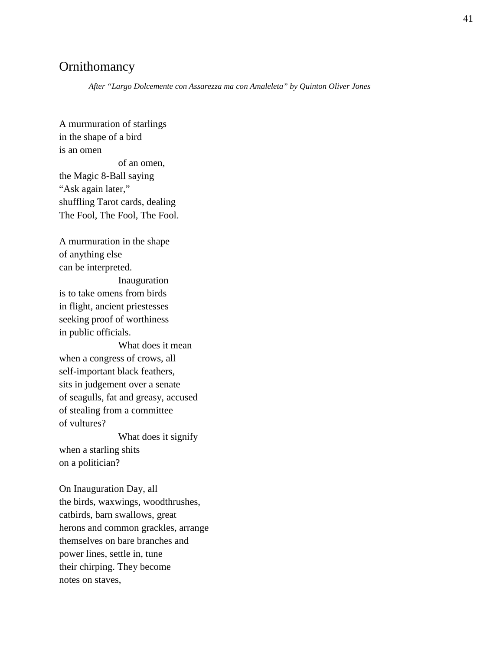## <span id="page-40-0"></span>**Ornithomancy**

*After "Largo Dolcemente con Assarezza ma con Amaleleta" by Quinton Oliver Jones* 

A murmuration of starlings in the shape of a bird is an omen of an omen, the Magic 8-Ball saying "Ask again later," shuffling Tarot cards, dealing The Fool, The Fool, The Fool.

A murmuration in the shape of anything else can be interpreted.

Inauguration is to take omens from birds in flight, ancient priestesses seeking proof of worthiness in public officials.

What does it mean when a congress of crows, all self-important black feathers, sits in judgement over a senate of seagulls, fat and greasy, accused of stealing from a committee of vultures?

What does it signify when a starling shits on a politician?

On Inauguration Day, all the birds, waxwings, woodthrushes, catbirds, barn swallows, great herons and common grackles, arrange themselves on bare branches and power lines, settle in, tune their chirping. They become notes on staves,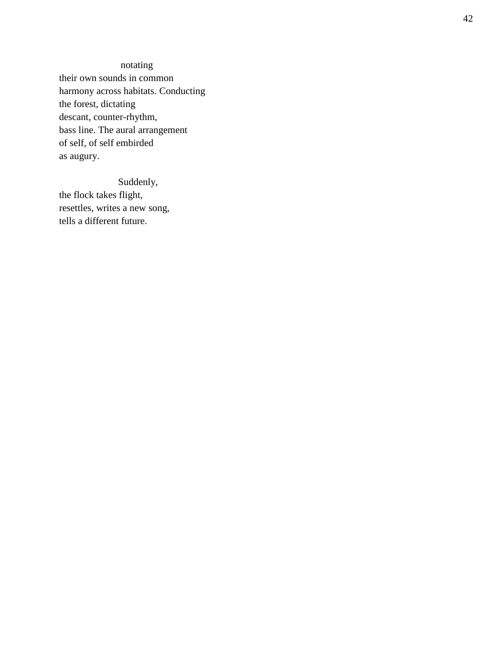notating their own sounds in common harmony across habitats. Conducting the forest, dictating descant, counter -rhythm, bass line. The aural arrangement of self, of self embirded as augury.

#### Suddenly,

the flock takes flight, resettles, writes a new song, tells a different future.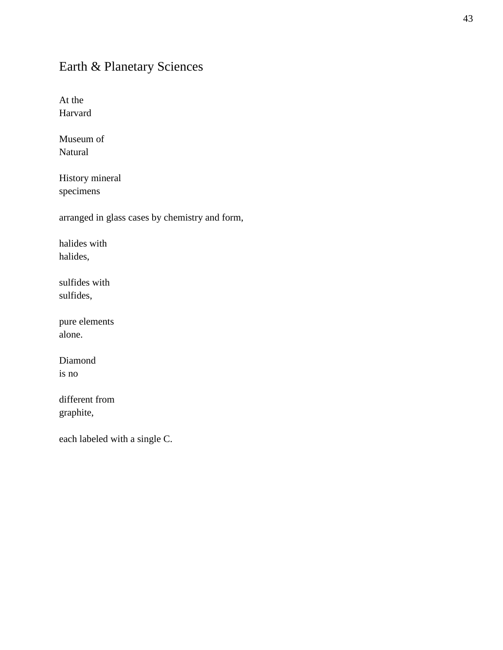# <span id="page-42-0"></span>Earth & Planetary Sciences

At the Harvard

Museum of Natural

History mineral specimens

arranged in glass cases by chemistry and form,

halides with halides,

sulfides with sulfides,

pure elements alone.

Diamond is no

different from graphite,

each labeled with a single C.